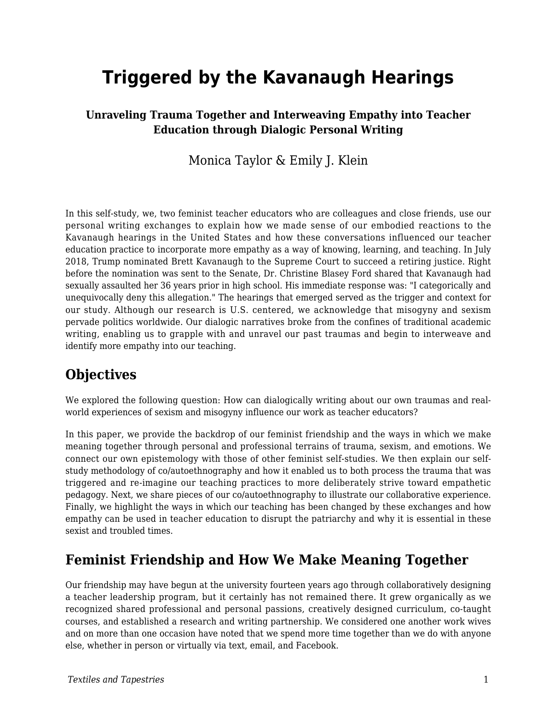# **Triggered by the Kavanaugh Hearings**

#### **Unraveling Trauma Together and Interweaving Empathy into Teacher Education through Dialogic Personal Writing**

#### Monica Taylor & Emily J. Klein

In this self-study, we, two feminist teacher educators who are colleagues and close friends, use our personal writing exchanges to explain how we made sense of our embodied reactions to the Kavanaugh hearings in the United States and how these conversations influenced our teacher education practice to incorporate more empathy as a way of knowing, learning, and teaching. In July 2018, Trump nominated Brett Kavanaugh to the Supreme Court to succeed a retiring justice. Right before the nomination was sent to the Senate, Dr. Christine Blasey Ford shared that Kavanaugh had sexually assaulted her 36 years prior in high school. His immediate response was: "I categorically and unequivocally deny this allegation." The hearings that emerged served as the trigger and context for our study. Although our research is U.S. centered, we acknowledge that misogyny and sexism pervade politics worldwide. Our dialogic narratives broke from the confines of traditional academic writing, enabling us to grapple with and unravel our past traumas and begin to interweave and identify more empathy into our teaching.

## **Objectives**

We explored the following question: How can dialogically writing about our own traumas and realworld experiences of sexism and misogyny influence our work as teacher educators?

In this paper, we provide the backdrop of our feminist friendship and the ways in which we make meaning together through personal and professional terrains of trauma, sexism, and emotions. We connect our own epistemology with those of other feminist self-studies. We then explain our selfstudy methodology of co/autoethnography and how it enabled us to both process the trauma that was triggered and re-imagine our teaching practices to more deliberately strive toward empathetic pedagogy. Next, we share pieces of our co/autoethnography to illustrate our collaborative experience. Finally, we highlight the ways in which our teaching has been changed by these exchanges and how empathy can be used in teacher education to disrupt the patriarchy and why it is essential in these sexist and troubled times.

## **Feminist Friendship and How We Make Meaning Together**

Our friendship may have begun at the university fourteen years ago through collaboratively designing a teacher leadership program, but it certainly has not remained there. It grew organically as we recognized shared professional and personal passions, creatively designed curriculum, co-taught courses, and established a research and writing partnership. We considered one another work wives and on more than one occasion have noted that we spend more time together than we do with anyone else, whether in person or virtually via text, email, and Facebook.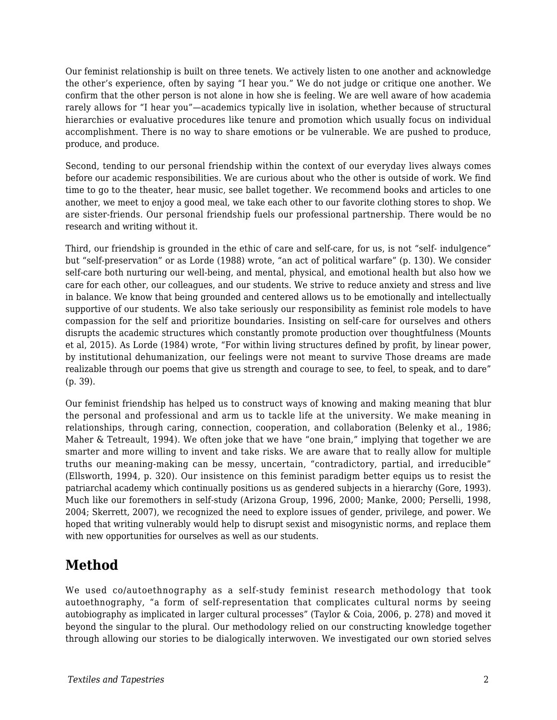Our feminist relationship is built on three tenets. We actively listen to one another and acknowledge the other's experience, often by saying "I hear you." We do not judge or critique one another. We confirm that the other person is not alone in how she is feeling. We are well aware of how academia rarely allows for "I hear you"—academics typically live in isolation, whether because of structural hierarchies or evaluative procedures like tenure and promotion which usually focus on individual accomplishment. There is no way to share emotions or be vulnerable. We are pushed to produce, produce, and produce.

Second, tending to our personal friendship within the context of our everyday lives always comes before our academic responsibilities. We are curious about who the other is outside of work. We find time to go to the theater, hear music, see ballet together. We recommend books and articles to one another, we meet to enjoy a good meal, we take each other to our favorite clothing stores to shop. We are sister-friends. Our personal friendship fuels our professional partnership. There would be no research and writing without it.

Third, our friendship is grounded in the ethic of care and self-care, for us, is not "self- indulgence" but "self-preservation" or as Lorde (1988) wrote, "an act of political warfare" (p. 130). We consider self-care both nurturing our well-being, and mental, physical, and emotional health but also how we care for each other, our colleagues, and our students. We strive to reduce anxiety and stress and live in balance. We know that being grounded and centered allows us to be emotionally and intellectually supportive of our students. We also take seriously our responsibility as feminist role models to have compassion for the self and prioritize boundaries. Insisting on self-care for ourselves and others disrupts the academic structures which constantly promote production over thoughtfulness (Mounts et al, 2015). As Lorde (1984) wrote, "For within living structures defined by profit, by linear power, by institutional dehumanization, our feelings were not meant to survive Those dreams are made realizable through our poems that give us strength and courage to see, to feel, to speak, and to dare" (p. 39).

Our feminist friendship has helped us to construct ways of knowing and making meaning that blur the personal and professional and arm us to tackle life at the university. We make meaning in relationships, through caring, connection, cooperation, and collaboration (Belenky et al., 1986; Maher & Tetreault, 1994). We often joke that we have "one brain," implying that together we are smarter and more willing to invent and take risks. We are aware that to really allow for multiple truths our meaning-making can be messy, uncertain, "contradictory, partial, and irreducible" (Ellsworth, 1994, p. 320). Our insistence on this feminist paradigm better equips us to resist the patriarchal academy which continually positions us as gendered subjects in a hierarchy (Gore, 1993). Much like our foremothers in self-study (Arizona Group, 1996, 2000; Manke, 2000; Perselli, 1998, 2004; Skerrett, 2007), we recognized the need to explore issues of gender, privilege, and power. We hoped that writing vulnerably would help to disrupt sexist and misogynistic norms, and replace them with new opportunities for ourselves as well as our students.

## **Method**

We used co/autoethnography as a self-study feminist research methodology that took autoethnography, "a form of self-representation that complicates cultural norms by seeing autobiography as implicated in larger cultural processes" (Taylor & Coia, 2006, p. 278) and moved it beyond the singular to the plural. Our methodology relied on our constructing knowledge together through allowing our stories to be dialogically interwoven. We investigated our own storied selves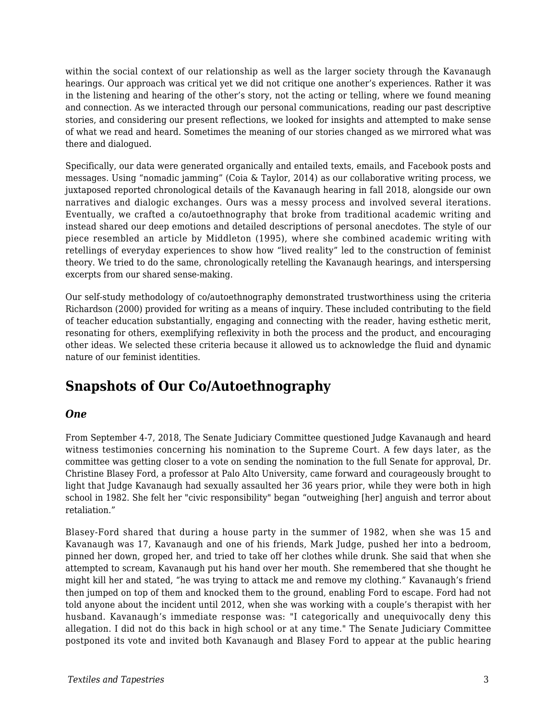within the social context of our relationship as well as the larger society through the Kavanaugh hearings. Our approach was critical yet we did not critique one another's experiences. Rather it was in the listening and hearing of the other's story, not the acting or telling, where we found meaning and connection. As we interacted through our personal communications, reading our past descriptive stories, and considering our present reflections, we looked for insights and attempted to make sense of what we read and heard. Sometimes the meaning of our stories changed as we mirrored what was there and dialogued.

Specifically, our data were generated organically and entailed texts, emails, and Facebook posts and messages. Using "nomadic jamming" (Coia & Taylor, 2014) as our collaborative writing process, we juxtaposed reported chronological details of the Kavanaugh hearing in fall 2018, alongside our own narratives and dialogic exchanges. Ours was a messy process and involved several iterations. Eventually, we crafted a co/autoethnography that broke from traditional academic writing and instead shared our deep emotions and detailed descriptions of personal anecdotes. The style of our piece resembled an article by Middleton (1995), where she combined academic writing with retellings of everyday experiences to show how "lived reality" led to the construction of feminist theory. We tried to do the same, chronologically retelling the Kavanaugh hearings, and interspersing excerpts from our shared sense-making.

Our self-study methodology of co/autoethnography demonstrated trustworthiness using the criteria Richardson (2000) provided for writing as a means of inquiry. These included contributing to the field of teacher education substantially, engaging and connecting with the reader, having esthetic merit, resonating for others, exemplifying reflexivity in both the process and the product, and encouraging other ideas. We selected these criteria because it allowed us to acknowledge the fluid and dynamic nature of our feminist identities.

## **Snapshots of Our Co/Autoethnography**

#### *One*

From September 4-7, 2018, The Senate Judiciary Committee questioned Judge Kavanaugh and heard witness testimonies concerning his nomination to the Supreme Court. A few days later, as the committee was getting closer to a vote on sending the nomination to the full Senate for approval, Dr. Christine Blasey Ford, a professor at Palo Alto University, came forward and courageously brought to light that Judge Kavanaugh had sexually assaulted her 36 years prior, while they were both in high school in 1982. She felt her "civic responsibility" began "outweighing [her] anguish and terror about retaliation."

Blasey-Ford shared that during a house party in the summer of 1982, when she was 15 and Kavanaugh was 17, Kavanaugh and one of his friends, Mark Judge, pushed her into a bedroom, pinned her down, groped her, and tried to take off her clothes while drunk. She said that when she attempted to scream, Kavanaugh put his hand over her mouth. She remembered that she thought he might kill her and stated, "he was trying to attack me and remove my clothing." Kavanaugh's friend then jumped on top of them and knocked them to the ground, enabling Ford to escape. Ford had not told anyone about the incident until 2012, when she was working with a couple's therapist with her husband. Kavanaugh's immediate response was: "I categorically and unequivocally deny this allegation. I did not do this back in high school or at any time." The Senate Judiciary Committee postponed its vote and invited both Kavanaugh and Blasey Ford to appear at the public hearing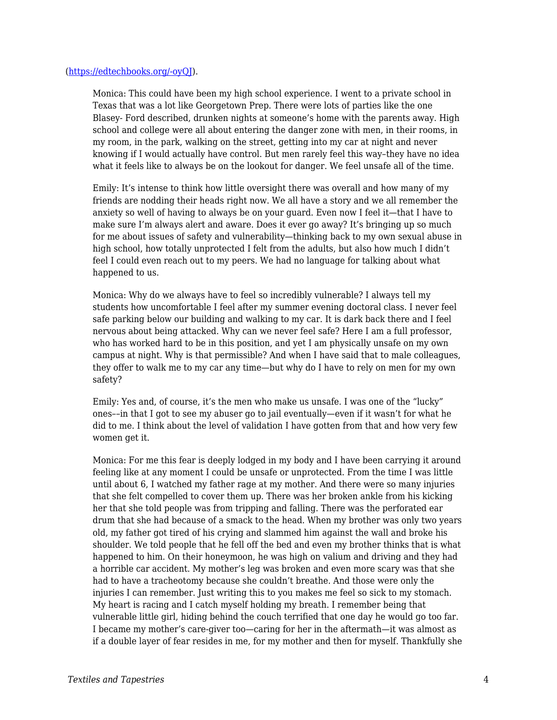#### ([https://edtechbooks.org/-oyQJ](https://www.washingtonpost.com/investigations/california-professor-writer-of-confidential-%20brett-kavanaugh-letter-speaks-out-about-her-allegation-of-sexual-assault/2018/09/16/46982194-%20b846-11e8-94eb-3bd52dfe917b_story.html?utm_term=.bfa992a09f67)).

Monica: This could have been my high school experience. I went to a private school in Texas that was a lot like Georgetown Prep. There were lots of parties like the one Blasey- Ford described, drunken nights at someone's home with the parents away. High school and college were all about entering the danger zone with men, in their rooms, in my room, in the park, walking on the street, getting into my car at night and never knowing if I would actually have control. But men rarely feel this way–they have no idea what it feels like to always be on the lookout for danger. We feel unsafe all of the time.

Emily: It's intense to think how little oversight there was overall and how many of my friends are nodding their heads right now. We all have a story and we all remember the anxiety so well of having to always be on your guard. Even now I feel it—that I have to make sure I'm always alert and aware. Does it ever go away? It's bringing up so much for me about issues of safety and vulnerability—thinking back to my own sexual abuse in high school, how totally unprotected I felt from the adults, but also how much I didn't feel I could even reach out to my peers. We had no language for talking about what happened to us.

Monica: Why do we always have to feel so incredibly vulnerable? I always tell my students how uncomfortable I feel after my summer evening doctoral class. I never feel safe parking below our building and walking to my car. It is dark back there and I feel nervous about being attacked. Why can we never feel safe? Here I am a full professor, who has worked hard to be in this position, and yet I am physically unsafe on my own campus at night. Why is that permissible? And when I have said that to male colleagues, they offer to walk me to my car any time—but why do I have to rely on men for my own safety?

Emily: Yes and, of course, it's the men who make us unsafe. I was one of the "lucky" ones––in that I got to see my abuser go to jail eventually—even if it wasn't for what he did to me. I think about the level of validation I have gotten from that and how very few women get it.

Monica: For me this fear is deeply lodged in my body and I have been carrying it around feeling like at any moment I could be unsafe or unprotected. From the time I was little until about 6, I watched my father rage at my mother. And there were so many injuries that she felt compelled to cover them up. There was her broken ankle from his kicking her that she told people was from tripping and falling. There was the perforated ear drum that she had because of a smack to the head. When my brother was only two years old, my father got tired of his crying and slammed him against the wall and broke his shoulder. We told people that he fell off the bed and even my brother thinks that is what happened to him. On their honeymoon, he was high on valium and driving and they had a horrible car accident. My mother's leg was broken and even more scary was that she had to have a tracheotomy because she couldn't breathe. And those were only the injuries I can remember. Just writing this to you makes me feel so sick to my stomach. My heart is racing and I catch myself holding my breath. I remember being that vulnerable little girl, hiding behind the couch terrified that one day he would go too far. I became my mother's care-giver too—caring for her in the aftermath—it was almost as if a double layer of fear resides in me, for my mother and then for myself. Thankfully she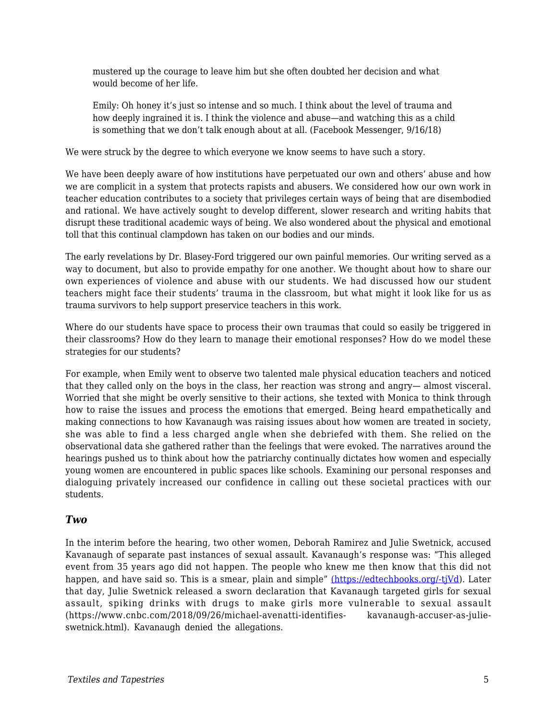mustered up the courage to leave him but she often doubted her decision and what would become of her life.

Emily: Oh honey it's just so intense and so much. I think about the level of trauma and how deeply ingrained it is. I think the violence and abuse—and watching this as a child is something that we don't talk enough about at all. (Facebook Messenger, 9/16/18)

We were struck by the degree to which everyone we know seems to have such a story.

We have been deeply aware of how institutions have perpetuated our own and others' abuse and how we are complicit in a system that protects rapists and abusers. We considered how our own work in teacher education contributes to a society that privileges certain ways of being that are disembodied and rational. We have actively sought to develop different, slower research and writing habits that disrupt these traditional academic ways of being. We also wondered about the physical and emotional toll that this continual clampdown has taken on our bodies and our minds.

The early revelations by Dr. Blasey-Ford triggered our own painful memories. Our writing served as a way to document, but also to provide empathy for one another. We thought about how to share our own experiences of violence and abuse with our students. We had discussed how our student teachers might face their students' trauma in the classroom, but what might it look like for us as trauma survivors to help support preservice teachers in this work.

Where do our students have space to process their own traumas that could so easily be triggered in their classrooms? How do they learn to manage their emotional responses? How do we model these strategies for our students?

For example, when Emily went to observe two talented male physical education teachers and noticed that they called only on the boys in the class, her reaction was strong and angry— almost visceral. Worried that she might be overly sensitive to their actions, she texted with Monica to think through how to raise the issues and process the emotions that emerged. Being heard empathetically and making connections to how Kavanaugh was raising issues about how women are treated in society, she was able to find a less charged angle when she debriefed with them. She relied on the observational data she gathered rather than the feelings that were evoked. The narratives around the hearings pushed us to think about how the patriarchy continually dictates how women and especially young women are encountered in public spaces like schools. Examining our personal responses and dialoguing privately increased our confidence in calling out these societal practices with our students.

#### *Two*

In the interim before the hearing, two other women, Deborah Ramirez and Julie Swetnick, accused Kavanaugh of separate past instances of sexual assault. Kavanaugh's response was: "This alleged event from 35 years ago did not happen. The people who knew me then know that this did not happen, and have said so. This is a smear, plain and simple" [\(](https://www.whitehouse.gov/briefings-statements/need-know-allegations-made-new-yorker-article-judge-brett-kavanaugh/))[https://edtechbooks.org/-tjVd\)](https://www.whitehouse.gov/briefings-statements/need-know-allegations-made-new-yorker-%20article-judge-brett-kavanaugh/). Later that day, Julie Swetnick released a sworn declaration that Kavanaugh targeted girls for sexual assault, spiking drinks with drugs to make girls more vulnerable to sexual assault (https://www.cnbc.com/2018/09/26/michael-avenatti-identifies- kavanaugh-accuser-as-julieswetnick.html). Kavanaugh denied the allegations.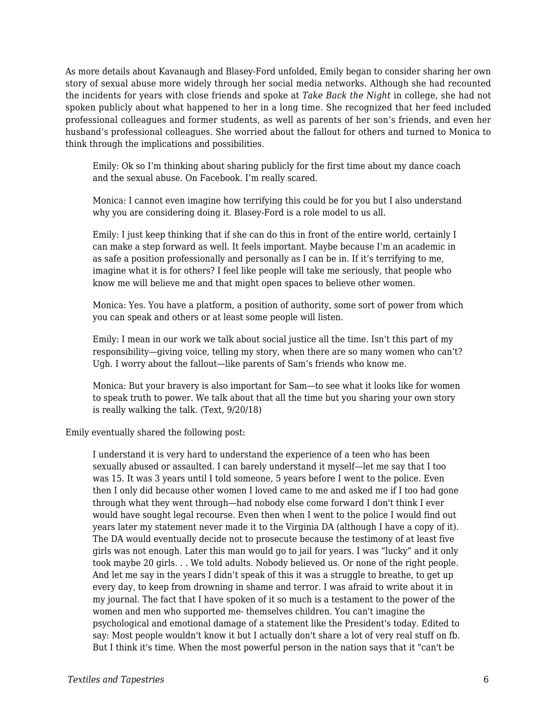As more details about Kavanaugh and Blasey-Ford unfolded, Emily began to consider sharing her own story of sexual abuse more widely through her social media networks. Although she had recounted the incidents for years with close friends and spoke at *Take Back the Night* in college, she had not spoken publicly about what happened to her in a long time. She recognized that her feed included professional colleagues and former students, as well as parents of her son's friends, and even her husband's professional colleagues. She worried about the fallout for others and turned to Monica to think through the implications and possibilities.

Emily: Ok so I'm thinking about sharing publicly for the first time about my dance coach and the sexual abuse. On Facebook. I'm really scared.

Monica: I cannot even imagine how terrifying this could be for you but I also understand why you are considering doing it. Blasey-Ford is a role model to us all.

Emily: I just keep thinking that if she can do this in front of the entire world, certainly I can make a step forward as well. It feels important. Maybe because I'm an academic in as safe a position professionally and personally as I can be in. If it's terrifying to me, imagine what it is for others? I feel like people will take me seriously, that people who know me will believe me and that might open spaces to believe other women.

Monica: Yes. You have a platform, a position of authority, some sort of power from which you can speak and others or at least some people will listen.

Emily: I mean in our work we talk about social justice all the time. Isn't this part of my responsibility—giving voice, telling my story, when there are so many women who can't? Ugh. I worry about the fallout—like parents of Sam's friends who know me.

Monica: But your bravery is also important for Sam—to see what it looks like for women to speak truth to power. We talk about that all the time but you sharing your own story is really walking the talk. (Text, 9/20/18)

Emily eventually shared the following post:

I understand it is very hard to understand the experience of a teen who has been sexually abused or assaulted. I can barely understand it myself—let me say that I too was 15. It was 3 years until I told someone, 5 years before I went to the police. Even then I only did because other women I loved came to me and asked me if I too had gone through what they went through—had nobody else come forward I don't think I ever would have sought legal recourse. Even then when I went to the police I would find out years later my statement never made it to the Virginia DA (although I have a copy of it). The DA would eventually decide not to prosecute because the testimony of at least five girls was not enough. Later this man would go to jail for years. I was "lucky" and it only took maybe 20 girls. . . We told adults. Nobody believed us. Or none of the right people. And let me say in the years I didn't speak of this it was a struggle to breathe, to get up every day, to keep from drowning in shame and terror. I was afraid to write about it in my journal. The fact that I have spoken of it so much is a testament to the power of the women and men who supported me- themselves children. You can't imagine the psychological and emotional damage of a statement like the President's today. Edited to say: Most people wouldn't know it but I actually don't share a lot of very real stuff on fb. But I think it's time. When the most powerful person in the nation says that it "can't be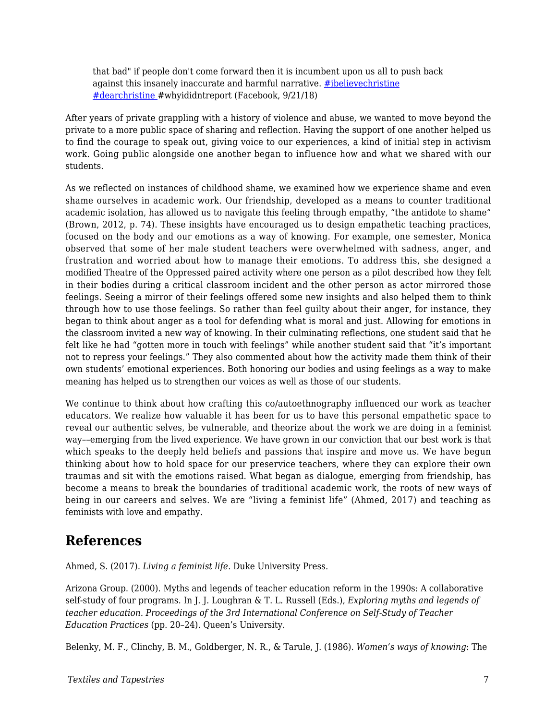that bad" if people don't come forward then it is incumbent upon us all to push back against this insanely inaccurate and harmful narrative. [#ibelievechristine](https://www.facebook.com/hashtag/dearchristine?source=feed_text&epa=HASHTAG) [#dearchristine](https://www.facebook.com/hashtag/whyididntreport?source=feed_text&epa=HASHTAG) #whyididntreport (Facebook, 9/21/18)

After years of private grappling with a history of violence and abuse, we wanted to move beyond the private to a more public space of sharing and reflection. Having the support of one another helped us to find the courage to speak out, giving voice to our experiences, a kind of initial step in activism work. Going public alongside one another began to influence how and what we shared with our students.

As we reflected on instances of childhood shame, we examined how we experience shame and even shame ourselves in academic work. Our friendship, developed as a means to counter traditional academic isolation, has allowed us to navigate this feeling through empathy, "the antidote to shame" (Brown, 2012, p. 74). These insights have encouraged us to design empathetic teaching practices, focused on the body and our emotions as a way of knowing. For example, one semester, Monica observed that some of her male student teachers were overwhelmed with sadness, anger, and frustration and worried about how to manage their emotions. To address this, she designed a modified Theatre of the Oppressed paired activity where one person as a pilot described how they felt in their bodies during a critical classroom incident and the other person as actor mirrored those feelings. Seeing a mirror of their feelings offered some new insights and also helped them to think through how to use those feelings. So rather than feel guilty about their anger, for instance, they began to think about anger as a tool for defending what is moral and just. Allowing for emotions in the classroom invited a new way of knowing. In their culminating reflections, one student said that he felt like he had "gotten more in touch with feelings" while another student said that "it's important not to repress your feelings." They also commented about how the activity made them think of their own students' emotional experiences. Both honoring our bodies and using feelings as a way to make meaning has helped us to strengthen our voices as well as those of our students.

We continue to think about how crafting this co/autoethnography influenced our work as teacher educators. We realize how valuable it has been for us to have this personal empathetic space to reveal our authentic selves, be vulnerable, and theorize about the work we are doing in a feminist way––emerging from the lived experience. We have grown in our conviction that our best work is that which speaks to the deeply held beliefs and passions that inspire and move us. We have begun thinking about how to hold space for our preservice teachers, where they can explore their own traumas and sit with the emotions raised. What began as dialogue, emerging from friendship, has become a means to break the boundaries of traditional academic work, the roots of new ways of being in our careers and selves. We are "living a feminist life" (Ahmed, 2017) and teaching as feminists with love and empathy.

## **References**

Ahmed, S. (2017). *Living a feminist life.* Duke University Press.

Arizona Group. (2000). Myths and legends of teacher education reform in the 1990s: A collaborative self-study of four programs. In J. J. Loughran & T. L. Russell (Eds.), *Exploring myths and legends of teacher education. Proceedings of the 3rd International Conference on Self-Study of Teacher Education Practices* (pp. 20–24). Queen's University.

Belenky, M. F., Clinchy, B. M., Goldberger, N. R., & Tarule, J. (1986). *Women's ways of knowing*: The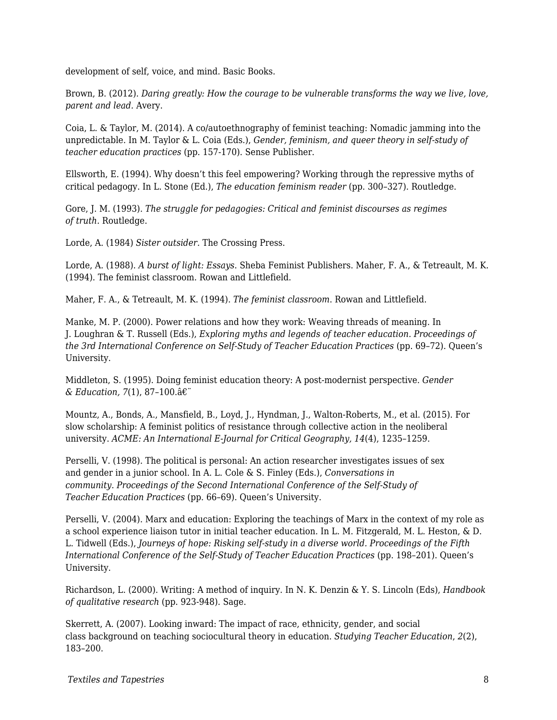development of self, voice, and mind. Basic Books.

Brown, B. (2012). *Daring greatly: How the courage to be vulnerable transforms the way we live, love, parent and lead.* Avery.

Coia, L. & Taylor, M. (2014). A co/autoethnography of feminist teaching: Nomadic jamming into the unpredictable. In M. Taylor & L. Coia (Eds.), *Gender, feminism, and queer theory in self-study of teacher education practices* (pp. 157-170). Sense Publisher.

Ellsworth, E. (1994). Why doesn't this feel empowering? Working through the repressive myths of critical pedagogy. In L. Stone (Ed.), *The education feminism reader* (pp. 300–327). Routledge.

Gore, J. M. (1993). *The struggle for pedagogies: Critical and feminist discourses as regimes of truth.* Routledge.

Lorde, A. (1984) *Sister outsider.* The Crossing Press.

Lorde, A. (1988). *A burst of light: Essays*. Sheba Feminist Publishers. Maher, F. A., & Tetreault, M. K. (1994). The feminist classroom. Rowan and Littlefield.

Maher, F. A., & Tetreault, M. K. (1994). *The feminist classroom*. Rowan and Littlefield.

Manke, M. P. (2000). Power relations and how they work: Weaving threads of meaning. In J. Loughran & T. Russell (Eds.), *Exploring myths and legends of teacher education. Proceedings of the 3rd International Conference on Self-Study of Teacher Education Practices (pp. 69-72). Queen's* University.

Middleton, S. (1995). Doing feminist education theory: A post-modernist perspective. *Gender & Education, 7*(1), 87–100.

Mountz, A., Bonds, A., Mansfield, B., Loyd, J., Hyndman, J., Walton-Roberts, M., et al. (2015). For slow scholarship: A feminist politics of resistance through collective action in the neoliberal university. *ACME: An International E-Journal for Critical Geography, 14*(4), 1235–1259.

Perselli, V. (1998). The political is personal: An action researcher investigates issues of sex and gender in a junior school. In A. L. Cole & S. Finley (Eds.), *Conversations in community*. *Proceedings of the Second International Conference of the Self-Study of Teacher Education Practices* (pp. 66–69). Queen's University.

Perselli, V. (2004). Marx and education: Exploring the teachings of Marx in the context of my role as a school experience liaison tutor in initial teacher education. In L. M. Fitzgerald, M. L. Heston, & D. L. Tidwell (Eds.), *Journeys of hope: Risking self-study in a diverse world. Proceedings of the Fifth International Conference of the Self-Study of Teacher Education Practices* (pp. 198–201). Queen's University.

Richardson, L. (2000). Writing: A method of inquiry. In N. K. Denzin & Y. S. Lincoln (Eds), *Handbook of qualitative research* (pp. 923-948). Sage.

Skerrett, A. (2007). Looking inward: The impact of race, ethnicity, gender, and social class background on teaching sociocultural theory in education. *Studying Teacher Education*, *2*(2), 183–200.